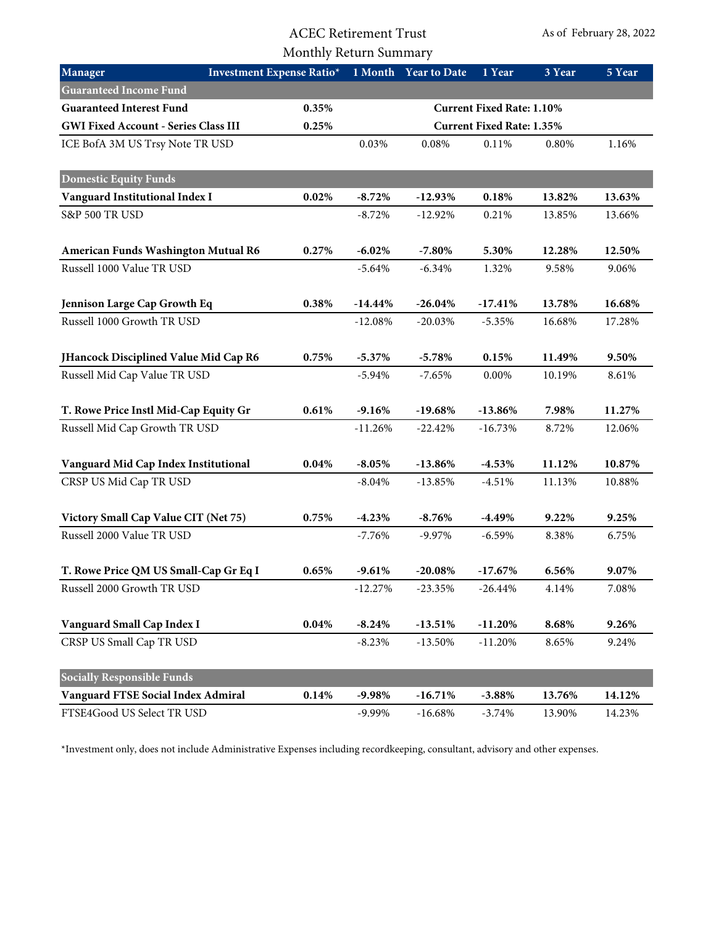## ACEC Retirement Trust Monthly Return Summary

| Manager                                     | <b>Investment Expense Ratio*</b> |            | 1 Month Year to Date             | 1 Year    | 3 Year | 5 Year |
|---------------------------------------------|----------------------------------|------------|----------------------------------|-----------|--------|--------|
| <b>Guaranteed Income Fund</b>               |                                  |            |                                  |           |        |        |
| <b>Guaranteed Interest Fund</b>             | 0.35%                            |            | <b>Current Fixed Rate: 1.10%</b> |           |        |        |
| <b>GWI Fixed Account - Series Class III</b> | 0.25%                            |            | <b>Current Fixed Rate: 1.35%</b> |           |        |        |
| ICE BofA 3M US Trsy Note TR USD             |                                  | 0.03%      | 0.08%                            | 0.11%     | 0.80%  | 1.16%  |
| <b>Domestic Equity Funds</b>                |                                  |            |                                  |           |        |        |
| Vanguard Institutional Index I              | 0.02%                            | $-8.72%$   | $-12.93%$                        | 0.18%     | 13.82% | 13.63% |
| S&P 500 TR USD                              |                                  | $-8.72%$   | $-12.92%$                        | 0.21%     | 13.85% | 13.66% |
| American Funds Washington Mutual R6         | 0.27%                            | $-6.02%$   | $-7.80%$                         | 5.30%     | 12.28% | 12.50% |
| Russell 1000 Value TR USD                   |                                  | $-5.64%$   | $-6.34%$                         | 1.32%     | 9.58%  | 9.06%  |
| Jennison Large Cap Growth Eq                | 0.38%                            | $-14.44\%$ | $-26.04%$                        | $-17.41%$ | 13.78% | 16.68% |
| Russell 1000 Growth TR USD                  |                                  | $-12.08%$  | $-20.03%$                        | $-5.35%$  | 16.68% | 17.28% |
| JHancock Disciplined Value Mid Cap R6       | 0.75%                            | $-5.37%$   | $-5.78%$                         | 0.15%     | 11.49% | 9.50%  |
| Russell Mid Cap Value TR USD                |                                  | $-5.94%$   | $-7.65%$                         | 0.00%     | 10.19% | 8.61%  |
| T. Rowe Price Instl Mid-Cap Equity Gr       | 0.61%                            | $-9.16%$   | $-19.68%$                        | $-13.86%$ | 7.98%  | 11.27% |
| Russell Mid Cap Growth TR USD               |                                  | $-11.26%$  | $-22.42%$                        | $-16.73%$ | 8.72%  | 12.06% |
| Vanguard Mid Cap Index Institutional        | 0.04%                            | $-8.05%$   | $-13.86%$                        | $-4.53%$  | 11.12% | 10.87% |
| CRSP US Mid Cap TR USD                      |                                  | $-8.04%$   | $-13.85%$                        | $-4.51%$  | 11.13% | 10.88% |
| Victory Small Cap Value CIT (Net 75)        | 0.75%                            | $-4.23%$   | $-8.76%$                         | $-4.49%$  | 9.22%  | 9.25%  |
| Russell 2000 Value TR USD                   |                                  | $-7.76%$   | $-9.97%$                         | $-6.59%$  | 8.38%  | 6.75%  |
| T. Rowe Price QM US Small-Cap Gr Eq I       | 0.65%                            | $-9.61%$   | $-20.08%$                        | $-17.67%$ | 6.56%  | 9.07%  |
| Russell 2000 Growth TR USD                  |                                  | $-12.27%$  | $-23.35%$                        | $-26.44%$ | 4.14%  | 7.08%  |
| Vanguard Small Cap Index I                  | 0.04%                            | $-8.24%$   | $-13.51%$                        | $-11.20%$ | 8.68%  | 9.26%  |
| CRSP US Small Cap TR USD                    |                                  | $-8.23%$   | $-13.50%$                        | $-11.20%$ | 8.65%  | 9.24%  |
| <b>Socially Responsible Funds</b>           |                                  |            |                                  |           |        |        |
| <b>Vanguard FTSE Social Index Admiral</b>   | 0.14%                            | $-9.98%$   | $-16.71%$                        | $-3.88%$  | 13.76% | 14.12% |
| FTSE4Good US Select TR USD                  |                                  | $-9.99\%$  | $-16.68%$                        | $-3.74%$  | 13.90% | 14.23% |

\*Investment only, does not include Administrative Expenses including recordkeeping, consultant, advisory and other expenses.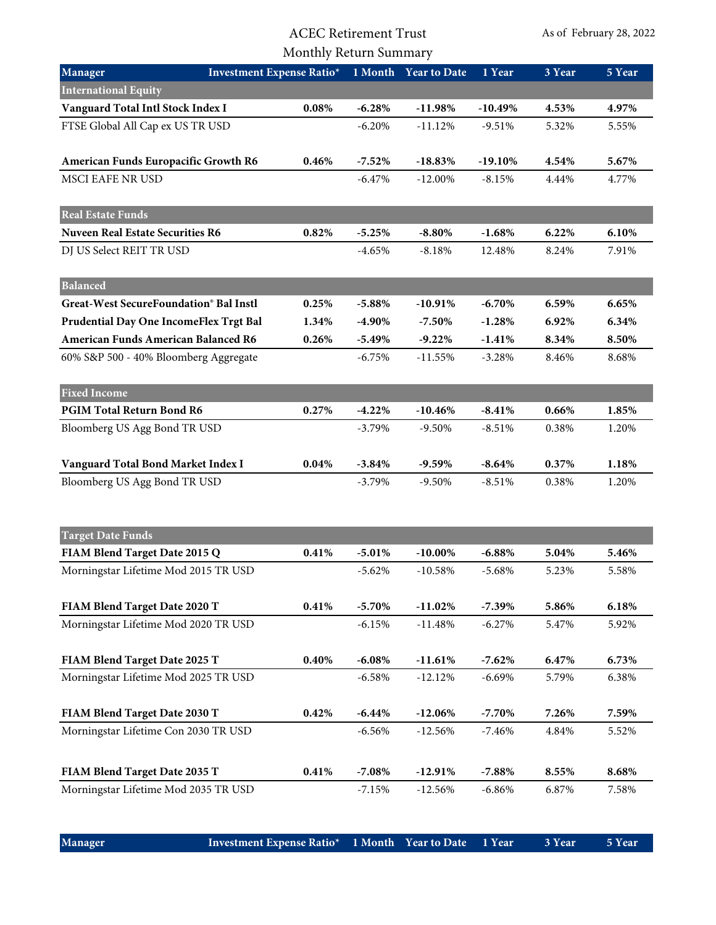## ACEC Retirement Trust Monthly Return Summary

| Manager                                    | <b>Investment Expense Ratio*</b> |           | 1 Month Year to Date | 1 Year    | 3 Year | 5 Year |
|--------------------------------------------|----------------------------------|-----------|----------------------|-----------|--------|--------|
| <b>International Equity</b>                |                                  |           |                      |           |        |        |
| Vanguard Total Intl Stock Index I          | 0.08%                            | $-6.28%$  | $-11.98%$            | $-10.49%$ | 4.53%  | 4.97%  |
| FTSE Global All Cap ex US TR USD           |                                  | $-6.20%$  | $-11.12%$            | $-9.51%$  | 5.32%  | 5.55%  |
| American Funds Europacific Growth R6       | 0.46%                            | $-7.52%$  | $-18.83%$            | $-19.10%$ | 4.54%  | 5.67%  |
| MSCI EAFE NR USD                           |                                  | $-6.47%$  | $-12.00\%$           | $-8.15%$  | 4.44%  | 4.77%  |
| <b>Real Estate Funds</b>                   |                                  |           |                      |           |        |        |
| <b>Nuveen Real Estate Securities R6</b>    | 0.82%                            | $-5.25%$  | $-8.80\%$            | $-1.68%$  | 6.22%  | 6.10%  |
| DJ US Select REIT TR USD                   |                                  | $-4.65%$  | $-8.18%$             | 12.48%    | 8.24%  | 7.91%  |
| <b>Balanced</b>                            |                                  |           |                      |           |        |        |
| Great-West SecureFoundation® Bal Instl     | 0.25%                            | $-5.88%$  | $-10.91%$            | $-6.70%$  | 6.59%  | 6.65%  |
| Prudential Day One IncomeFlex Trgt Bal     | 1.34%                            | $-4.90\%$ | $-7.50\%$            | $-1.28%$  | 6.92%  | 6.34%  |
| <b>American Funds American Balanced R6</b> | 0.26%                            | $-5.49%$  | $-9.22%$             | $-1.41%$  | 8.34%  | 8.50%  |
| 60% S&P 500 - 40% Bloomberg Aggregate      |                                  | $-6.75%$  | $-11.55%$            | $-3.28%$  | 8.46%  | 8.68%  |
| <b>Fixed Income</b>                        |                                  |           |                      |           |        |        |
| PGIM Total Return Bond R6                  | 0.27%                            | $-4.22%$  | $-10.46%$            | $-8.41%$  | 0.66%  | 1.85%  |
| Bloomberg US Agg Bond TR USD               |                                  | $-3.79%$  | $-9.50%$             | $-8.51%$  | 0.38%  | 1.20%  |
| Vanguard Total Bond Market Index I         | 0.04%                            | $-3.84%$  | $-9.59%$             | $-8.64%$  | 0.37%  | 1.18%  |
| Bloomberg US Agg Bond TR USD               |                                  | $-3.79%$  | $-9.50%$             | $-8.51%$  | 0.38%  | 1.20%  |
| <b>Target Date Funds</b>                   |                                  |           |                      |           |        |        |
| FIAM Blend Target Date 2015 Q              | 0.41%                            | $-5.01%$  | $-10.00\%$           | $-6.88%$  | 5.04%  | 5.46%  |
| Morningstar Lifetime Mod 2015 TR USD       |                                  | $-5.62%$  | $-10.58%$            | $-5.68%$  | 5.23%  | 5.58%  |
| FIAM Blend Target Date 2020 T              | 0.41%                            | $-5.70%$  | $-11.02\%$           | $-7.39%$  | 5.86%  | 6.18%  |
| Morningstar Lifetime Mod 2020 TR USD       |                                  | $-6.15%$  | $-11.48%$            | $-6.27%$  | 5.47%  | 5.92%  |
| FIAM Blend Target Date 2025 T              | 0.40%                            | $-6.08%$  | $-11.61%$            | $-7.62%$  | 6.47%  | 6.73%  |
| Morningstar Lifetime Mod 2025 TR USD       |                                  | $-6.58%$  | $-12.12%$            | $-6.69%$  | 5.79%  | 6.38%  |
| FIAM Blend Target Date 2030 T              | 0.42%                            | $-6.44%$  | $-12.06%$            | $-7.70%$  | 7.26%  | 7.59%  |
| Morningstar Lifetime Con 2030 TR USD       |                                  | $-6.56%$  | $-12.56%$            | $-7.46%$  | 4.84%  | 5.52%  |
| FIAM Blend Target Date 2035 T              | 0.41%                            | $-7.08%$  | $-12.91%$            | $-7.88%$  | 8.55%  | 8.68%  |
| Morningstar Lifetime Mod 2035 TR USD       |                                  | $-7.15%$  | $-12.56%$            | $-6.86%$  | 6.87%  | 7.58%  |